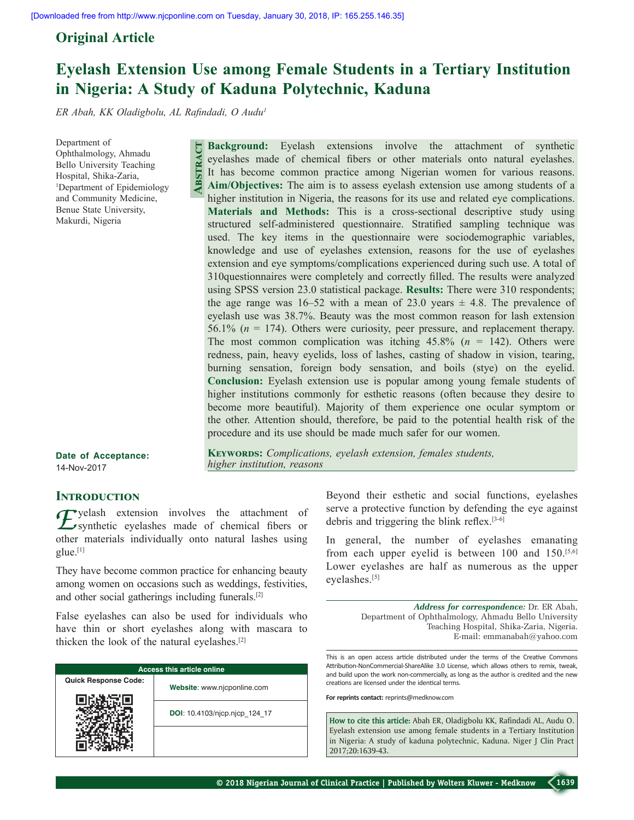# **Original Article**

# **Eyelash Extension Use among Female Students in a Tertiary Institution in Nigeria: A Study of Kaduna Polytechnic, Kaduna**

*ER Abah, KK Oladigbolu, AL Rafindadi, O Audu<sup>1</sup>*

**Abstract**

Department of Ophthalmology, Ahmadu Bello University Teaching Hospital, Shika‑Zaria, 1 Department of Epidemiology and Community Medicine, Benue State University, Makurdi, Nigeria

> extension and eye symptoms/complications experienced during such use. A total of 310questionnaires were completely and correctly filled. The results were analyzed using SPSS version 23.0 statistical package. **Results:** There were 310 respondents; the age range was 16–52 with a mean of 23.0 years  $\pm$  4.8. The prevalence of eyelash use was 38.7%. Beauty was the most common reason for lash extension 56.1% (*n* = 174). Others were curiosity, peer pressure, and replacement therapy. The most common complication was itching  $45.8\%$  ( $n = 142$ ). Others were redness, pain, heavy eyelids, loss of lashes, casting of shadow in vision, tearing, burning sensation, foreign body sensation, and boils (stye) on the eyelid. **Conclusion:** Eyelash extension use is popular among young female students of higher institutions commonly for esthetic reasons (often because they desire to become more beautiful). Majority of them experience one ocular symptom or the other. Attention should, therefore, be paid to the potential health risk of the procedure and its use should be made much safer for our women.

**Background:** Eyelash extensions involve the attachment of synthetic eyelashes made of chemical fibers or other materials onto natural eyelashes. It has become common practice among Nigerian women for various reasons. **Aim/Objectives:** The aim is to assess eyelash extension use among students of a higher institution in Nigeria, the reasons for its use and related eye complications. **Materials and Methods:** This is a cross-sectional descriptive study using structured self‑administered questionnaire. Stratified sampling technique was used. The key items in the questionnaire were sociodemographic variables, knowledge and use of eyelashes extension, reasons for the use of eyelashes

**Date of Acceptance:** 14-Nov-2017

**KEYWORDS:** Complications, eyelash extension, females students, *higher institution, reasons*

## **INTRODUCTION**

**F**yelash extension involves the attachment of synthetic eyelashes made of chemical fibers or other materials individually onto natural lashes using glue.[1]

They have become common practice for enhancing beauty among women on occasions such as weddings, festivities, and other social gatherings including funerals.[2]

False eyelashes can also be used for individuals who have thin or short eyelashes along with mascara to thicken the look of the natural eyelashes.[2]

| <b>Access this article online</b> |                               |  |
|-----------------------------------|-------------------------------|--|
| <b>Quick Response Code:</b>       | Website: www.njcponline.com   |  |
|                                   | DOI: 10.4103/njcp.njcp 124 17 |  |
|                                   |                               |  |

Beyond their esthetic and social functions, eyelashes serve a protective function by defending the eye against debris and triggering the blink reflex.[3‑6]

In general, the number of eyelashes emanating from each upper eyelid is between  $100$  and  $150$ .<sup>[5,6]</sup> Lower eyelashes are half as numerous as the upper eyelashes.[5]

> *Address for correspondence:* Dr. ER Abah, Department of Ophthalmology, Ahmadu Bello University Teaching Hospital, Shika‑Zaria, Nigeria. E‑mail: emmanabah@yahoo.com

This is an open access article distributed under the terms of the Creative Commons Attribution-NonCommercial-ShareAlike 3.0 License, which allows others to remix, tweak, and build upon the work non-commercially, as long as the author is credited and the new creations are licensed under the identical terms.

**For reprints contact:** reprints@medknow.com

**How to cite this article:** Abah ER, Oladigbolu KK, Rafindadi AL, Audu O. Eyelash extension use among female students in a Tertiary Institution in Nigeria: A study of kaduna polytechnic, Kaduna. Niger J Clin Pract 2017;20:1639-43.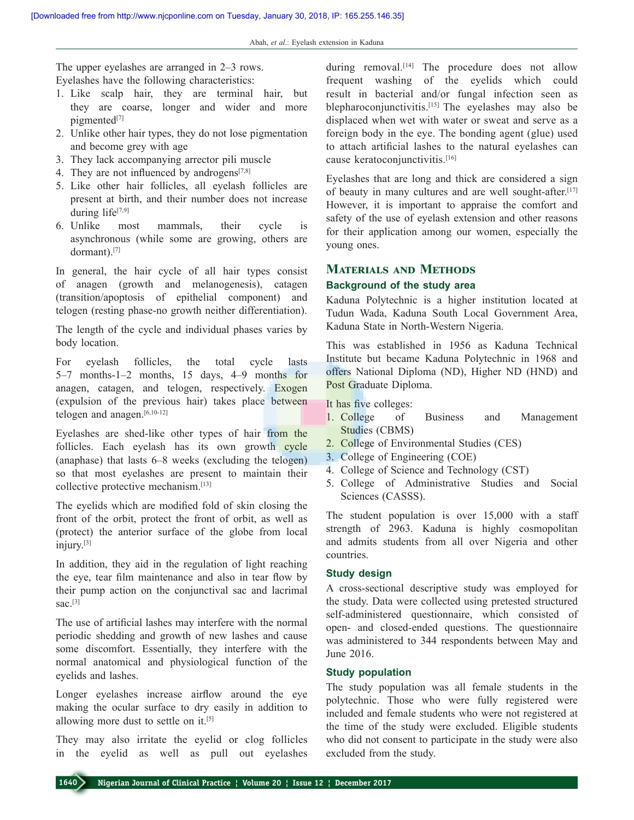The upper eyelashes are arranged in 2–3 rows. Eyelashes have the following characteristics:

- 1. Like scalp hair, they are terminal hair, but they are coarse, longer and wider and more pigmented<sup>[7]</sup>
- 2. Unlike other hair types, they do not lose pigmentation and become grey with age
- 3. They lack accompanying arrector pili muscle
- 4. They are not influenced by androgens $[7,8]$
- 5. Like other hair follicles, all eyelash follicles are present at birth, and their number does not increase during life $[7,9]$
- 6. Unlike most mammals, their cycle is asynchronous (while some are growing, others are dormant).[7]

In general, the hair cycle of all hair types consist of anagen (growth and melanogenesis), catagen (transition/apoptosis of epithelial component) and telogen (resting phase‑no growth neither differentiation).

The length of the cycle and individual phases varies by body location.

For eyelash follicles, the total cycle lasts 5–7 months‑1–2 months, 15 days, 4–9 months for anagen, catagen, and telogen, respectively. Exogen (expulsion of the previous hair) takes place between telogen and anagen.<sup>[6,10-12]</sup>

Eyelashes are shed-like other types of hair from the follicles. Each eyelash has its own growth cycle (anaphase) that lasts 6–8 weeks (excluding the telogen) so that most eyelashes are present to maintain their collective protective mechanism.[13]

The eyelids which are modified fold of skin closing the front of the orbit, protect the front of orbit, as well as (protect) the anterior surface of the globe from local injury.[3]

In addition, they aid in the regulation of light reaching the eye, tear film maintenance and also in tear flow by their pump action on the conjunctival sac and lacrimal sac. $[3]$ 

The use of artificial lashes may interfere with the normal periodic shedding and growth of new lashes and cause some discomfort. Essentially, they interfere with the normal anatomical and physiological function of the eyelids and lashes.

Longer eyelashes increase airflow around the eye making the ocular surface to dry easily in addition to allowing more dust to settle on it.[5]

They may also irritate the eyelid or clog follicles in the eyelid as well as pull out eyelashes

during removal.<sup>[14]</sup> The procedure does not allow frequent washing of the eyelids which could result in bacterial and/or fungal infection seen as blepharoconjunctivitis.[15] The eyelashes may also be displaced when wet with water or sweat and serve as a foreign body in the eye. The bonding agent (glue) used to attach artificial lashes to the natural eyelashes can cause keratoconjunctivitis.[16]

Eyelashes that are long and thick are considered a sign of beauty in many cultures and are well sought-after.<sup>[17]</sup> However, it is important to appraise the comfort and safety of the use of eyelash extension and other reasons for their application among our women, especially the young ones.

## **Materials and Methods**

## **Background of the study area**

Kaduna Polytechnic is a higher institution located at Tudun Wada, Kaduna South Local Government Area, Kaduna State in North‑Western Nigeria.

This was established in 1956 as Kaduna Technical Institute but became Kaduna Polytechnic in 1968 and offers National Diploma (ND), Higher ND (HND) and Post Graduate Diploma.

It has five colleges:

- 1. College of Business and Management Studies (CBMS)
- 2. College of Environmental Studies (CES)
- 3. College of Engineering (COE)
- 4. College of Science and Technology (CST)
- 5. College of Administrative Studies and Social Sciences (CASSS).

The student population is over 15,000 with a staff strength of 2963. Kaduna is highly cosmopolitan and admits students from all over Nigeria and other countries.

## **Study design**

A cross‑sectional descriptive study was employed for the study. Data were collected using pretested structured self-administered questionnaire, which consisted of open‑ and closed‑ended questions. The questionnaire was administered to 344 respondents between May and June 2016.

## **Study population**

The study population was all female students in the polytechnic. Those who were fully registered were included and female students who were not registered at the time of the study were excluded. Eligible students who did not consent to participate in the study were also excluded from the study.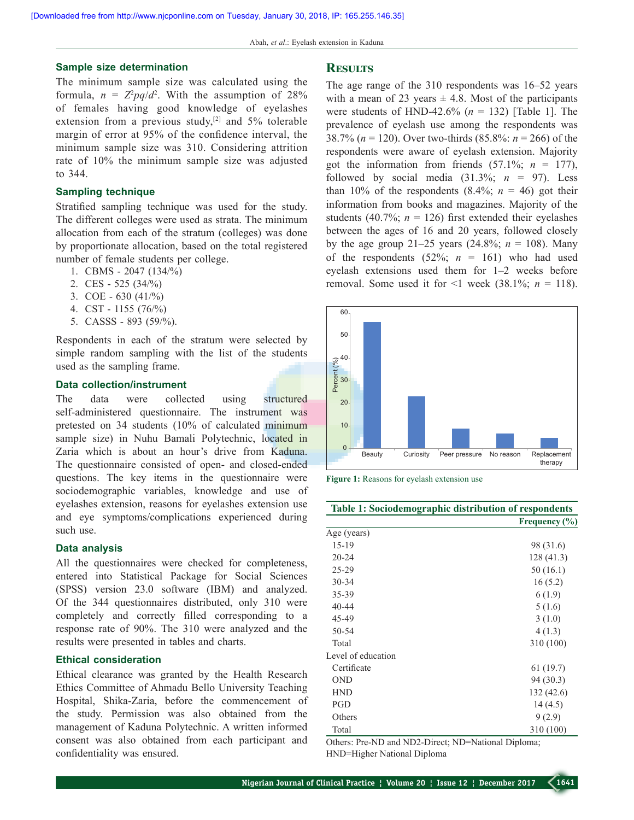#### **Sample size determination**

The minimum sample size was calculated using the formula,  $n = Z^2 pq/d^2$ . With the assumption of 28% of females having good knowledge of eyelashes extension from a previous study, $[2]$  and 5% tolerable margin of error at 95% of the confidence interval, the minimum sample size was 310. Considering attrition rate of 10% the minimum sample size was adjusted to 344.

#### **Sampling technique**

Stratified sampling technique was used for the study. The different colleges were used as strata. The minimum allocation from each of the stratum (colleges) was done by proportionate allocation, based on the total registered number of female students per college.

- 1. CBMS ‑ 2047 (134/%)
- 2. CES ‑ 525 (34/%)
- 3. COE  $630 (41\%)$
- 4. CST ‑ 1155 (76/%)
- 5. CASSS ‑ 893 (59/%).

Respondents in each of the stratum were selected by simple random sampling with the list of the students used as the sampling frame.

#### **Data collection/instrument**

The data were collected using structured self-administered questionnaire. The instrument was pretested on 34 students (10% of calculated minimum sample size) in Nuhu Bamali Polytechnic, located in Zaria which is about an hour's drive from Kaduna. The questionnaire consisted of open- and closed-ended questions. The key items in the questionnaire were sociodemographic variables, knowledge and use of eyelashes extension, reasons for eyelashes extension use and eye symptoms/complications experienced during such use.

#### **Data analysis**

All the questionnaires were checked for completeness, entered into Statistical Package for Social Sciences (SPSS) version 23.0 software (IBM) and analyzed. Of the 344 questionnaires distributed, only 310 were completely and correctly filled corresponding to a response rate of 90%. The 310 were analyzed and the results were presented in tables and charts.

#### **Ethical consideration**

Ethical clearance was granted by the Health Research Ethics Committee of Ahmadu Bello University Teaching Hospital, Shika-Zaria, before the commencement of the study. Permission was also obtained from the management of Kaduna Polytechnic. A written informed consent was also obtained from each participant and confidentiality was ensured.

#### **Results**

The age range of the 310 respondents was 16–52 years with a mean of 23 years  $\pm$  4.8. Most of the participants were students of HND-42.6%  $(n = 132)$  [Table 1]. The prevalence of eyelash use among the respondents was 38.7% ( $n = 120$ ). Over two-thirds (85.8%:  $n = 266$ ) of the respondents were aware of eyelash extension. Majority got the information from friends  $(57.1\%; n = 177)$ , followed by social media  $(31.3\%; n = 97)$ . Less than 10% of the respondents  $(8.4\%; n = 46)$  got their information from books and magazines. Majority of the students (40.7%;  $n = 126$ ) first extended their eyelashes between the ages of 16 and 20 years, followed closely by the age group 21–25 years (24.8%;  $n = 108$ ). Many of the respondents  $(52\%; n = 161)$  who had used eyelash extensions used them for 1–2 weeks before removal. Some used it for  $\leq 1$  week (38.1%;  $n = 118$ ).



**Figure 1:** Reasons for eyelash extension use

| Table 1: Sociodemographic distribution of respondents |                   |
|-------------------------------------------------------|-------------------|
|                                                       | Frequency $(\% )$ |
| Age (years)                                           |                   |
| $15-19$                                               | 98 (31.6)         |
| $20 - 24$                                             | 128 (41.3)        |
| 25-29                                                 | 50(16.1)          |
| $30 - 34$                                             | 16(5.2)           |
| 35-39                                                 | 6(1.9)            |
| 40-44                                                 | 5(1.6)            |
| 45-49                                                 | 3(1.0)            |
| 50-54                                                 | 4(1.3)            |
| Total                                                 | 310 (100)         |
| Level of education                                    |                   |
| Certificate                                           | 61(19.7)          |
| <b>OND</b>                                            | 94 (30.3)         |
| <b>HND</b>                                            | 132(42.6)         |
| PGD                                                   | 14(4.5)           |
| Others                                                | 9(2.9)            |
| Total                                                 | 310 (100)         |

Others: Pre-ND and ND2-Direct; ND=National Diploma; HND=Higher National Diploma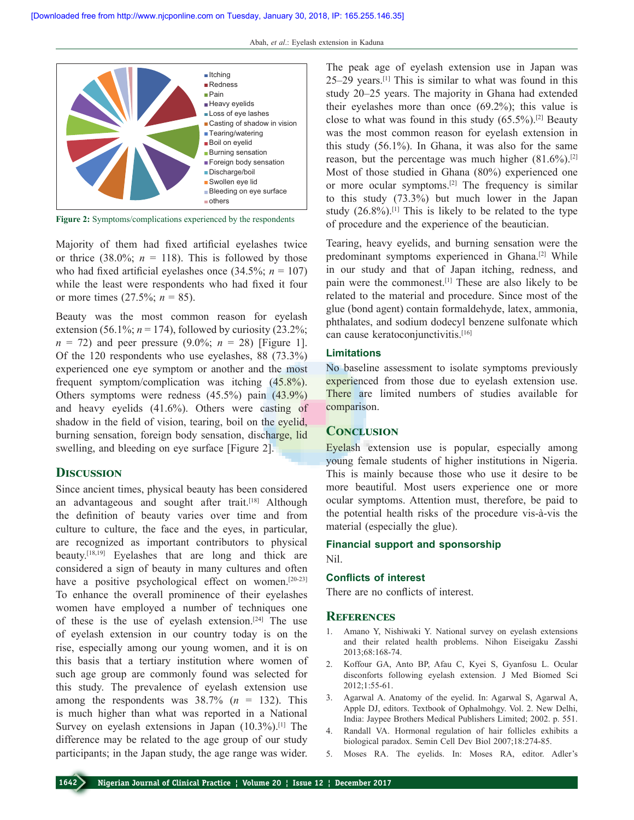

**Figure 2:** Symptoms/complications experienced by the respondents

Majority of them had fixed artificial eyelashes twice or thrice  $(38.0\%; n = 118)$ . This is followed by those who had fixed artificial eyelashes once  $(34.5\%; n = 107)$ while the least were respondents who had fixed it four or more times  $(27.5\%; n = 85)$ .

Beauty was the most common reason for eyelash extension (56.1%;  $n = 174$ ), followed by curiosity (23.2%;  $n = 72$ ) and peer pressure (9.0%;  $n = 28$ ) [Figure 1]. Of the 120 respondents who use eyelashes, 88 (73.3%) experienced one eye symptom or another and the most frequent symptom/complication was itching (45.8%). Others symptoms were redness (45.5%) pain (43.9%) and heavy eyelids (41.6%). Others were casting of shadow in the field of vision, tearing, boil on the eyelid, burning sensation, foreign body sensation, discharge, lid swelling, and bleeding on eye surface [Figure 2].

## **Discussion**

Since ancient times, physical beauty has been considered an advantageous and sought after trait.[18] Although the definition of beauty varies over time and from culture to culture, the face and the eyes, in particular, are recognized as important contributors to physical beauty.[18,19] Eyelashes that are long and thick are considered a sign of beauty in many cultures and often have a positive psychological effect on women.<sup>[20-23]</sup> To enhance the overall prominence of their eyelashes women have employed a number of techniques one of these is the use of eyelash extension.[24] The use of eyelash extension in our country today is on the rise, especially among our young women, and it is on this basis that a tertiary institution where women of such age group are commonly found was selected for this study. The prevalence of eyelash extension use among the respondents was  $38.7\%$  ( $n = 132$ ). This is much higher than what was reported in a National Survey on eyelash extensions in Japan  $(10.3\%)$ <sup>[1]</sup> The difference may be related to the age group of our study participants; in the Japan study, the age range was wider.

The peak age of eyelash extension use in Japan was 25–29 years.[1] This is similar to what was found in this study 20–25 years. The majority in Ghana had extended their eyelashes more than once (69.2%); this value is close to what was found in this study  $(65.5\%)$ .<sup>[2]</sup> Beauty was the most common reason for eyelash extension in this study (56.1%). In Ghana, it was also for the same reason, but the percentage was much higher  $(81.6\%)$ .<sup>[2]</sup> Most of those studied in Ghana (80%) experienced one or more ocular symptoms.[2] The frequency is similar to this study (73.3%) but much lower in the Japan study  $(26.8\%)$ .<sup>[1]</sup> This is likely to be related to the type of procedure and the experience of the beautician.

Tearing, heavy eyelids, and burning sensation were the predominant symptoms experienced in Ghana.[2] While in our study and that of Japan itching, redness, and pain were the commonest.[1] These are also likely to be related to the material and procedure. Since most of the glue (bond agent) contain formaldehyde, latex, ammonia, phthalates, and sodium dodecyl benzene sulfonate which can cause keratoconjunctivitis.<sup>[16]</sup>

## **Limitations**

No baseline assessment to isolate symptoms previously experienced from those due to eyelash extension use. There are limited numbers of studies available for comparison.

## **Conclusion**

Eyelash extension use is popular, especially among young female students of higher institutions in Nigeria. This is mainly because those who use it desire to be more beautiful. Most users experience one or more ocular symptoms. Attention must, therefore, be paid to the potential health risks of the procedure vis‑à‑vis the material (especially the glue).

#### **Financial support and sponsorship**

Nil.

#### **Conflicts of interest**

There are no conflicts of interest.

#### **References**

- 1. Amano Y, Nishiwaki Y. National survey on eyelash extensions and their related health problems. Nihon Eiseigaku Zasshi 2013;68:168‑74.
- 2. Koffour GA, Anto BP, Afau C, Kyei S, Gyanfosu L. Ocular disconforts following eyelash extension. J Med Biomed Sci 2012;1:55‑61.
- 3. Agarwal A. Anatomy of the eyelid. In: Agarwal S, Agarwal A, Apple DJ, editors. Textbook of Ophalmohgy. Vol. 2. New Delhi, India: Jaypee Brothers Medical Publishers Limited; 2002. p. 551.
- 4. Randall VA. Hormonal regulation of hair follicles exhibits a biological paradox. Semin Cell Dev Biol 2007;18:274‑85.
- 5. Moses RA. The eyelids. In: Moses RA, editor. Adler's